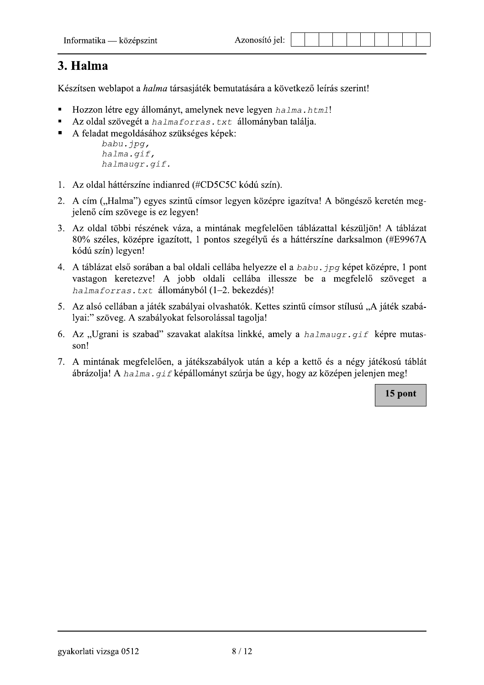## 3. Halma

Készítsen weblapot a *halma* társasjáték bemutatására a következő leírás szerint!

- Hozzon létre egy állományt, amelynek neve legyen halma. html!
- Az oldal szövegét a halmaforras. txt állományban találja.
- A feladat megoldásához szükséges képek:

```
babu.jpg,
halma.gif,
halmaugr.gif.
```
- 1. Az oldal háttérszíne indianred (#CD5C5C kódú szín).
- 2. A cím ("Halma") egyes szintű címsor legyen középre igazítva! A böngésző keretén megjelenő cím szövege is ez legyen!
- 3. Az oldal többi részének váza, a mintának megfelelően táblázattal készüljön! A táblázat 80% széles, középre igazított, 1 pontos szegélyű és a háttérszíne darksalmon (#E9967A kódú szín) legyen!
- 4. A táblázat első sorában a bal oldali cellába helyezze el a babu.  $ipq$  képet középre, 1 pont vastagon keretezve! A jobb oldali cellába illessze be a megfelelő szöveget a halmaforras.txt állományból (1-2. bekezdés)!
- 5. Az alsó cellában a játék szabályai olvashatók. Kettes szintű címsor stílusú "A játék szabályai:" szöveg. A szabályokat felsorolással tagolja!
- 6. Az "Ugrani is szabad" szavakat alakítsa linkké, amely a halmaugr. gif képre mutasson!
- 7. A mintának megfelelően, a játékszabályok után a kép a kettő és a négy játékosú táblát ábrázolja! A halma. qif képállományt szúrja be úgy, hogy az középen jelenjen meg!

15 pont